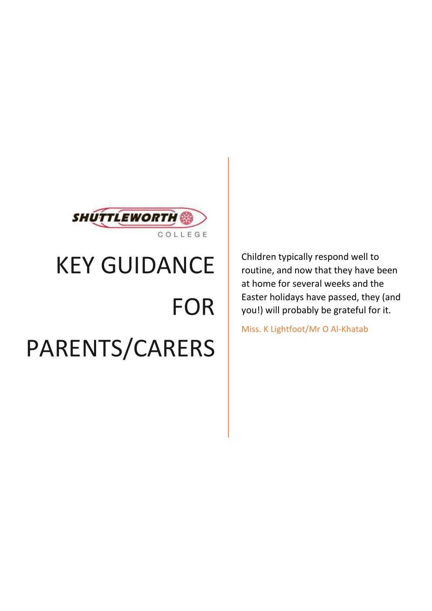

## KEY GUIDANCE

# FOR PARENTS/CARERS

Children typically respond well to routine, and now that they have been at home for several weeks and the Easter holidays have passed, they (and you!) will probably be grateful for it.

Miss. K Lightfoot/Mr O Al-Khatab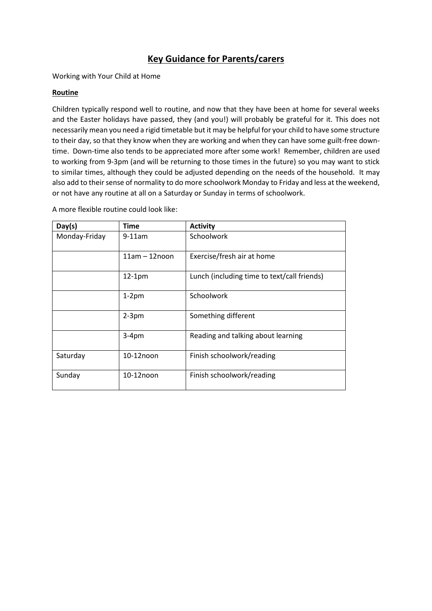### **Key Guidance for Parents/carers**

Working with Your Child at Home

#### **Routine**

Children typically respond well to routine, and now that they have been at home for several weeks and the Easter holidays have passed, they (and you!) will probably be grateful for it. This does not necessarily mean you need a rigid timetable but it may be helpful for your child to have some structure to their day, so that they know when they are working and when they can have some guilt-free downtime. Down-time also tends to be appreciated more after some work! Remember, children are used to working from 9-3pm (and will be returning to those times in the future) so you may want to stick to similar times, although they could be adjusted depending on the needs of the household. It may also add to their sense of normality to do more schoolwork Monday to Friday and less at the weekend, or not have any routine at all on a Saturday or Sunday in terms of schoolwork.

| Day(s)        | <b>Time</b>     | <b>Activity</b>                             |
|---------------|-----------------|---------------------------------------------|
| Monday-Friday | $9-11am$        | Schoolwork                                  |
|               | $11am - 12noon$ | Exercise/fresh air at home                  |
|               | $12-1pm$        | Lunch (including time to text/call friends) |
|               | $1-2$ pm        | Schoolwork                                  |
|               | $2-3$ pm        | Something different                         |
|               | $3-4pm$         | Reading and talking about learning          |
| Saturday      | 10-12noon       | Finish schoolwork/reading                   |
| Sunday        | 10-12noon       | Finish schoolwork/reading                   |

A more flexible routine could look like: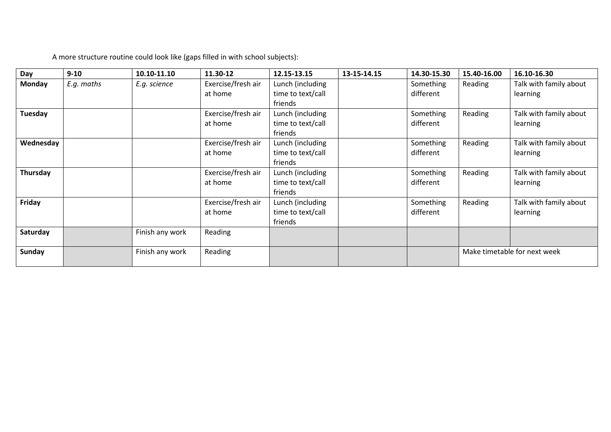| Day           | $9 - 10$   | 10.10-11.10     | 11.30-12                      | 12.15-13.15                                      | 13-15-14.15 | 14.30-15.30            | 15.40-16.00                  | 16.10-16.30                        |
|---------------|------------|-----------------|-------------------------------|--------------------------------------------------|-------------|------------------------|------------------------------|------------------------------------|
| <b>Monday</b> | E.g. maths | E.g. science    | Exercise/fresh air<br>at home | Lunch (including<br>time to text/call<br>friends |             | Something<br>different | Reading                      | Talk with family about<br>learning |
| Tuesday       |            |                 | Exercise/fresh air<br>at home | Lunch (including<br>time to text/call<br>friends |             | Something<br>different | Reading                      | Talk with family about<br>learning |
| Wednesday     |            |                 | Exercise/fresh air<br>at home | Lunch (including<br>time to text/call<br>friends |             | Something<br>different | Reading                      | Talk with family about<br>learning |
| Thursday      |            |                 | Exercise/fresh air<br>at home | Lunch (including<br>time to text/call<br>friends |             | Something<br>different | Reading                      | Talk with family about<br>learning |
| Friday        |            |                 | Exercise/fresh air<br>at home | Lunch (including<br>time to text/call<br>friends |             | Something<br>different | Reading                      | Talk with family about<br>learning |
| Saturday      |            | Finish any work | Reading                       |                                                  |             |                        |                              |                                    |
| <b>Sunday</b> |            | Finish any work | Reading                       |                                                  |             |                        | Make timetable for next week |                                    |

A more structure routine could look like (gaps filled in with school subjects):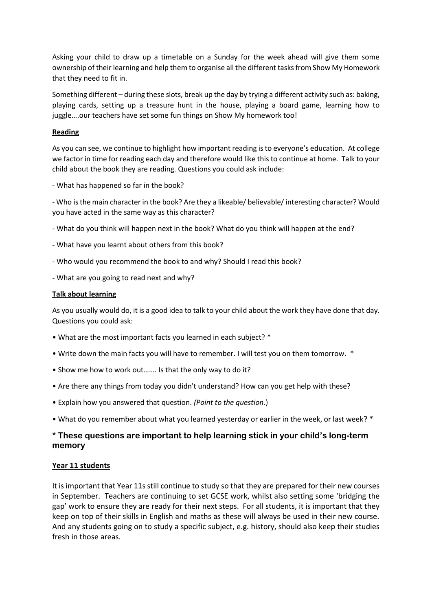Asking your child to draw up a timetable on a Sunday for the week ahead will give them some ownership of their learning and help them to organise all the different tasks from Show My Homework that they need to fit in.

Something different – during these slots, break up the day by trying a different activity such as: baking, playing cards, setting up a treasure hunt in the house, playing a board game, learning how to juggle….our teachers have set some fun things on Show My homework too!

#### **Reading**

As you can see, we continue to highlight how important reading is to everyone's education. At college we factor in time for reading each day and therefore would like this to continue at home. Talk to your child about the book they are reading. Questions you could ask include:

- What has happened so far in the book?

- Who is the main character in the book? Are they a likeable/ believable/ interesting character? Would you have acted in the same way as this character?

- What do you think will happen next in the book? What do you think will happen at the end?
- What have you learnt about others from this book?
- Who would you recommend the book to and why? Should I read this book?
- What are you going to read next and why?

#### **Talk about learning**

As you usually would do, it is a good idea to talk to your child about the work they have done that day. Questions you could ask:

- What are the most important facts you learned in each subject? \*
- Write down the main facts you will have to remember. I will test you on them tomorrow. \*
- Show me how to work out……. Is that the only way to do it?
- Are there any things from today you didn't understand? How can you get help with these?
- Explain how you answered that question. *(Point to the question.*)
- What do you remember about what you learned yesterday or earlier in the week, or last week? \*

#### **\* These questions are important to help learning stick in your child's long-term memory**

#### **Year 11 students**

It is important that Year 11s still continue to study so that they are prepared for their new courses in September. Teachers are continuing to set GCSE work, whilst also setting some 'bridging the gap' work to ensure they are ready for their next steps. For all students, it is important that they keep on top of their skills in English and maths as these will always be used in their new course. And any students going on to study a specific subject, e.g. history, should also keep their studies fresh in those areas.